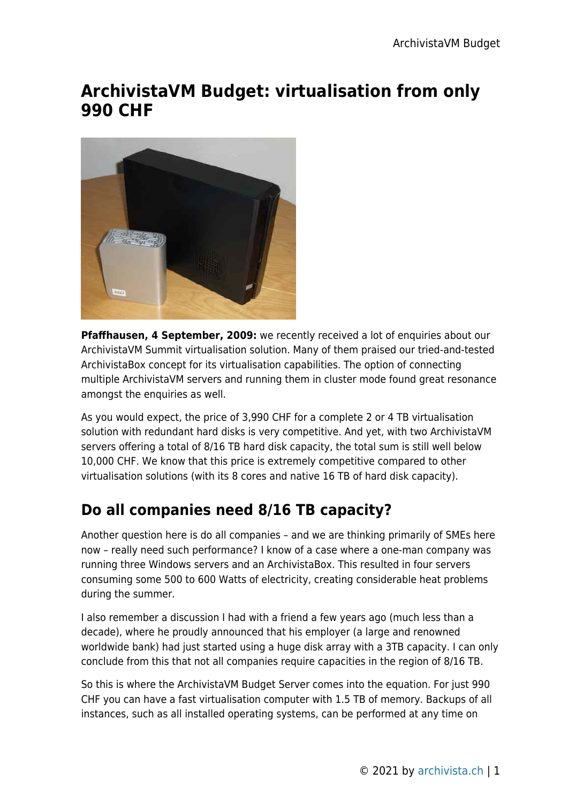## **ArchivistaVM Budget: virtualisation from only 990 CHF**



**Pfaffhausen, 4 September, 2009:** we recently received a lot of enquiries about our ArchivistaVM Summit virtualisation solution. Many of them praised our tried-and-tested ArchivistaBox concept for its virtualisation capabilities. The option of connecting multiple ArchivistaVM servers and running them in cluster mode found great resonance amongst the enquiries as well.

As you would expect, the price of 3,990 CHF for a complete 2 or 4 TB virtualisation solution with redundant hard disks is very competitive. And yet, with two ArchivistaVM servers offering a total of 8/16 TB hard disk capacity, the total sum is still well below 10,000 CHF. We know that this price is extremely competitive compared to other virtualisation solutions (with its 8 cores and native 16 TB of hard disk capacity).

## **Do all companies need 8/16 TB capacity?**

Another question here is do all companies – and we are thinking primarily of SMEs here now – really need such performance? I know of a case where a one-man company was running three Windows servers and an ArchivistaBox. This resulted in four servers consuming some 500 to 600 Watts of electricity, creating considerable heat problems during the summer.

I also remember a discussion I had with a friend a few years ago (much less than a decade), where he proudly announced that his employer (a large and renowned worldwide bank) had just started using a huge disk array with a 3TB capacity. I can only conclude from this that not all companies require capacities in the region of 8/16 TB.

So this is where the ArchivistaVM Budget Server comes into the equation. For just 990 CHF you can have a fast virtualisation computer with 1.5 TB of memory. Backups of all instances, such as all installed operating systems, can be performed at any time on